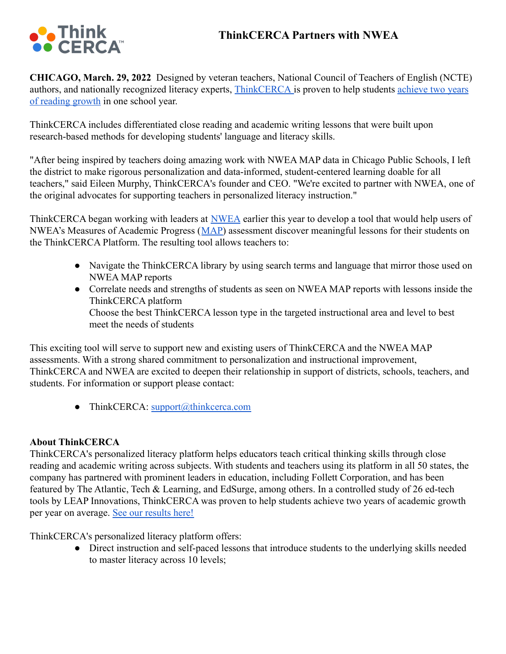# **ThinkCERCA Partners with NWEA**



**CHICAGO, March. 29, 2022** Designed by veteran teachers, National Council of Teachers of English (NCTE) authors, and nationally recognized literacy experts, [ThinkCERCA](https://thinkcerca.com/) is proven to help students [achieve two](https://thinkcerca.com/results/) years [of reading growth](https://thinkcerca.com/results/) in one school year.

ThinkCERCA includes differentiated close reading and academic writing lessons that were built upon research-based methods for developing students' language and literacy skills.

"After being inspired by teachers doing amazing work with NWEA MAP data in Chicago Public Schools, I left the district to make rigorous personalization and data-informed, student-centered learning doable for all teachers," said Eileen Murphy, ThinkCERCA's founder and CEO. "We're excited to partner with NWEA, one of the original advocates for supporting teachers in personalized literacy instruction."

ThinkCERCA began working with leaders at [NWEA](https://www.nwea.org/) earlier this year to develop a tool that would help users of NWEA's Measures of Academic Progress ([MAP\)](https://www.nwea.org/the-map-suite/) assessment discover meaningful lessons for their students on the ThinkCERCA Platform. The resulting tool allows teachers to:

- Navigate the ThinkCERCA library by using search terms and language that mirror those used on NWEA MAP reports
- Correlate needs and strengths of students as seen on NWEA MAP reports with lessons inside the ThinkCERCA platform Choose the best ThinkCERCA lesson type in the targeted instructional area and level to best meet the needs of students

This exciting tool will serve to support new and existing users of ThinkCERCA and the NWEA MAP assessments. With a strong shared commitment to personalization and instructional improvement, ThinkCERCA and NWEA are excited to deepen their relationship in support of districts, schools, teachers, and students. For information or support please contact:

• ThinkCERCA: support $(\partial_t$ thinkcerca.com

## **About ThinkCERCA**

ThinkCERCA's personalized literacy platform helps educators teach critical thinking skills through close reading and academic writing across subjects. With students and teachers using its platform in all 50 states, the company has partnered with prominent leaders in education, including Follett Corporation, and has been featured by The Atlantic, Tech & Learning, and EdSurge, among others. In a controlled study of 26 ed-tech tools by LEAP Innovations, ThinkCERCA was proven to help students achieve two years of academic growth per year on average. [See our results here!](https://www.thinkcerca.com/results)

ThinkCERCA's personalized literacy platform offers:

● Direct instruction and self-paced lessons that introduce students to the underlying skills needed to master literacy across 10 levels;